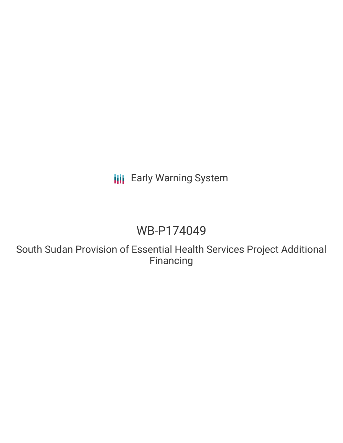# **III** Early Warning System

# WB-P174049

South Sudan Provision of Essential Health Services Project Additional Financing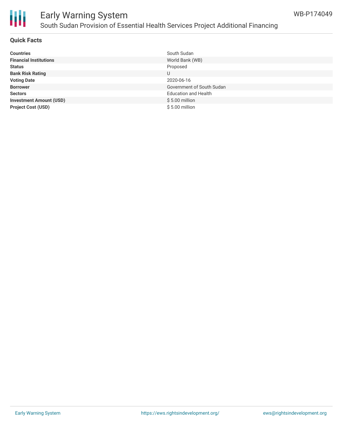

# Ш

# Early Warning System South Sudan Provision of Essential Health Services Project Additional Financing

#### **Quick Facts**

| <b>Countries</b>               | South Sudan                 |
|--------------------------------|-----------------------------|
| <b>Financial Institutions</b>  | World Bank (WB)             |
| <b>Status</b>                  | Proposed                    |
| <b>Bank Risk Rating</b>        | U                           |
| <b>Voting Date</b>             | 2020-06-16                  |
| <b>Borrower</b>                | Government of South Sudan   |
| <b>Sectors</b>                 | <b>Education and Health</b> |
| <b>Investment Amount (USD)</b> | $$5.00$ million             |
| <b>Project Cost (USD)</b>      | $$5.00$ million             |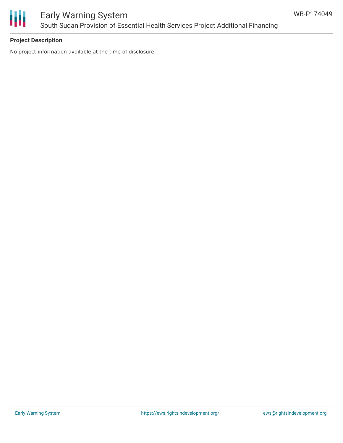

## Early Warning System South Sudan Provision of Essential Health Services Project Additional Financing

#### **Project Description**

No project information available at the time of disclosure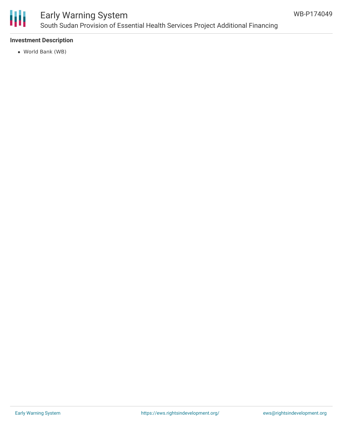

### Early Warning System South Sudan Provision of Essential Health Services Project Additional Financing

#### **Investment Description**

World Bank (WB)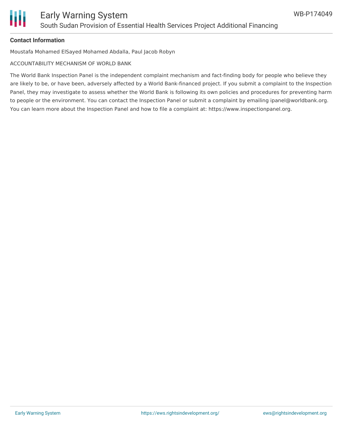

#### **Contact Information**

Moustafa Mohamed ElSayed Mohamed Abdalla, Paul Jacob Robyn

ACCOUNTABILITY MECHANISM OF WORLD BANK

The World Bank Inspection Panel is the independent complaint mechanism and fact-finding body for people who believe they are likely to be, or have been, adversely affected by a World Bank-financed project. If you submit a complaint to the Inspection Panel, they may investigate to assess whether the World Bank is following its own policies and procedures for preventing harm to people or the environment. You can contact the Inspection Panel or submit a complaint by emailing ipanel@worldbank.org. You can learn more about the Inspection Panel and how to file a complaint at: https://www.inspectionpanel.org.